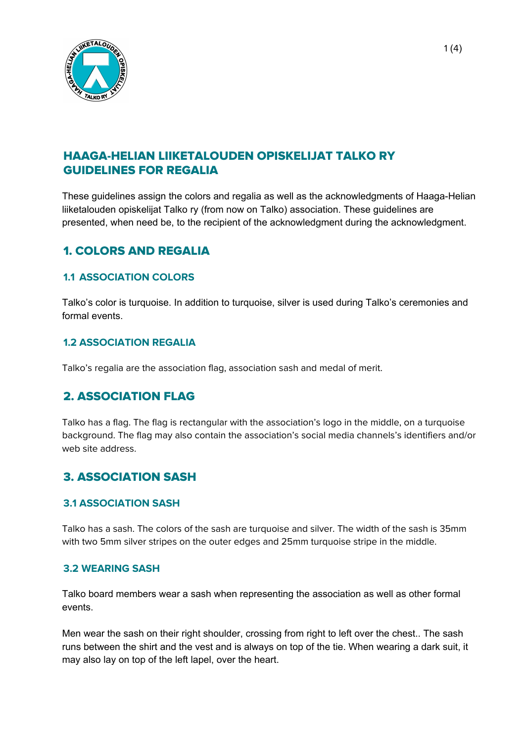

# HAAGA-HELIAN LIIKETALOUDEN OPISKELIJAT TALKO RY GUIDELINES FOR REGALIA

These guidelines assign the colors and regalia as well as the acknowledgments of Haaga-Helian liiketalouden opiskelijat Talko ry (from now on Talko) association. These guidelines are presented, when need be, to the recipient of the acknowledgment during the acknowledgment.

# 1. COLORS AND REGALIA

### **1.1 ASSOCIATION COLORS**

Talko's color is turquoise. In addition to turquoise, silver is used during Talko's ceremonies and formal events.

### **1.2 ASSOCIATION REGALIA**

Talko's regalia are the association flag, association sash and medal of merit.

# 2. ASSOCIATION FLAG

Talko has a flag. The flag is rectangular with the association's logo in the middle, on a turquoise background. The flag may also contain the association's social media channels's identifiers and/or web site address.

# 3. ASSOCIATION SASH

#### **3.1 ASSOCIATION SASH**

Talko has a sash. The colors of the sash are turquoise and silver. The width of the sash is 35mm with two 5mm silver stripes on the outer edges and 25mm turquoise stripe in the middle.

#### **3.2 WEARING SASH**

Talko board members wear a sash when representing the association as well as other formal events.

Men wear the sash on their right shoulder, crossing from right to left over the chest.. The sash runs between the shirt and the vest and is always on top of the tie. When wearing a dark suit, it may also lay on top of the left lapel, over the heart.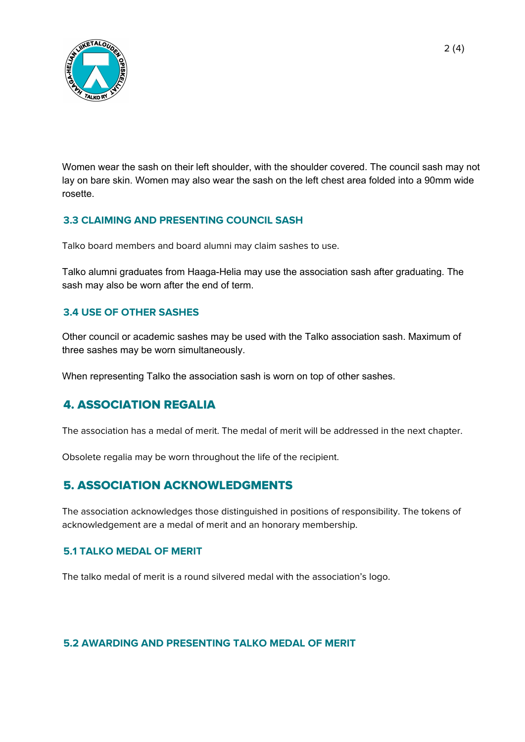

Women wear the sash on their left shoulder, with the shoulder covered. The council sash may not lay on bare skin. Women may also wear the sash on the left chest area folded into a 90mm wide rosette.

### **3.3 CLAIMING AND PRESENTING COUNCIL SASH**

Talko board members and board alumni may claim sashes to use.

Talko alumni graduates from Haaga-Helia may use the association sash after graduating. The sash may also be worn after the end of term.

### **3.4 USE OF OTHER SASHES**

Other council or academic sashes may be used with the Talko association sash. Maximum of three sashes may be worn simultaneously.

When representing Talko the association sash is worn on top of other sashes.

### 4. ASSOCIATION REGALIA

The association has a medal of merit. The medal of merit will be addressed in the next chapter.

Obsolete regalia may be worn throughout the life of the recipient.

### 5. ASSOCIATION ACKNOWLEDGMENTS

The association acknowledges those distinguished in positions of responsibility. The tokens of acknowledgement are a medal of merit and an honorary membership.

#### **5.1 TALKO MEDAL OF MERIT**

The talko medal of merit is a round silvered medal with the association's logo.

**5.2 AWARDING AND PRESENTING TALKO MEDAL OF MERIT**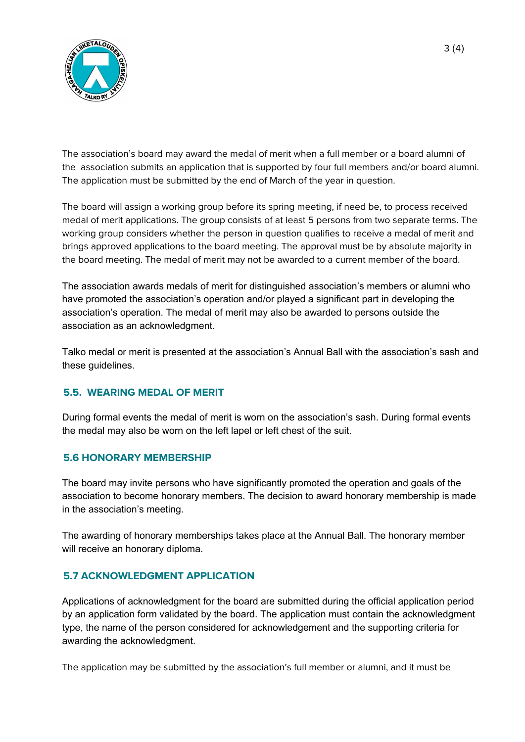

The association's board may award the medal of merit when a full member or a board alumni of the association submits an application that is supported by four full members and/or board alumni. The application must be submitted by the end of March of the year in question.

The board will assign a working group before its spring meeting, if need be, to process received medal of merit applications. The group consists of at least 5 persons from two separate terms. The working group considers whether the person in question qualifies to receive a medal of merit and brings approved applications to the board meeting. The approval must be by absolute majority in the board meeting. The medal of merit may not be awarded to a current member of the board.

The association awards medals of merit for distinguished association's members or alumni who have promoted the association's operation and/or played a significant part in developing the association's operation. The medal of merit may also be awarded to persons outside the association as an acknowledgment.

Talko medal or merit is presented at the association's Annual Ball with the association's sash and these guidelines.

### **5.5. WEARING MEDAL OF MERIT**

During formal events the medal of merit is worn on the association's sash. During formal events the medal may also be worn on the left lapel or left chest of the suit.

### **5.6 HONORARY MEMBERSHIP**

The board may invite persons who have significantly promoted the operation and goals of the association to become honorary members. The decision to award honorary membership is made in the association's meeting.

The awarding of honorary memberships takes place at the Annual Ball. The honorary member will receive an honorary diploma.

### **5.7 ACKNOWLEDGMENT APPLICATION**

Applications of acknowledgment for the board are submitted during the official application period by an application form validated by the board. The application must contain the acknowledgment type, the name of the person considered for acknowledgement and the supporting criteria for awarding the acknowledgment.

The application may be submitted by the association's full member or alumni, and it must be